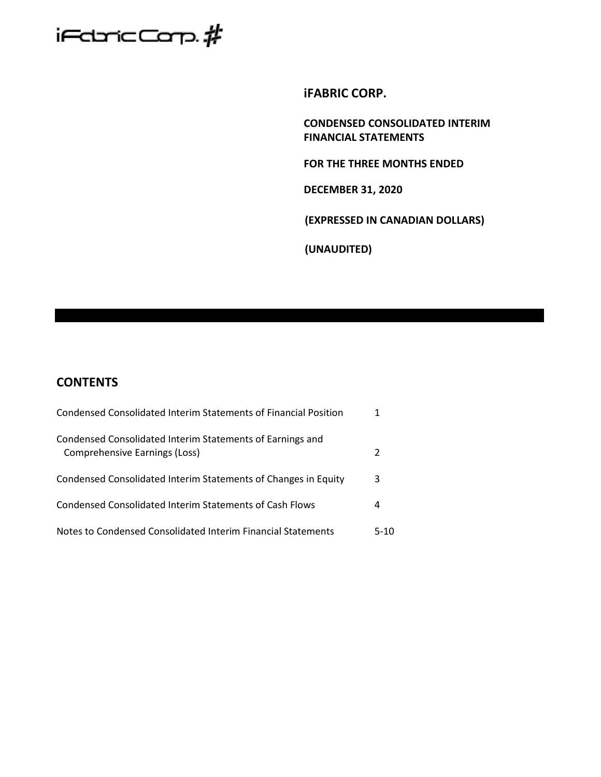

**iFABRIC CORP.**

**CONDENSED CONSOLIDATED INTERIM FINANCIAL STATEMENTS**

**FOR THE THREE MONTHS ENDED** 

**DECEMBER 31, 2020**

**(EXPRESSED IN CANADIAN DOLLARS)**

**(UNAUDITED)**

# **CONTENTS**

| Condensed Consolidated Interim Statements of Financial Position                            |      |
|--------------------------------------------------------------------------------------------|------|
| Condensed Consolidated Interim Statements of Earnings and<br>Comprehensive Earnings (Loss) |      |
| Condensed Consolidated Interim Statements of Changes in Equity                             | 3    |
| Condensed Consolidated Interim Statements of Cash Flows                                    | 4    |
| Notes to Condensed Consolidated Interim Financial Statements                               | 5-10 |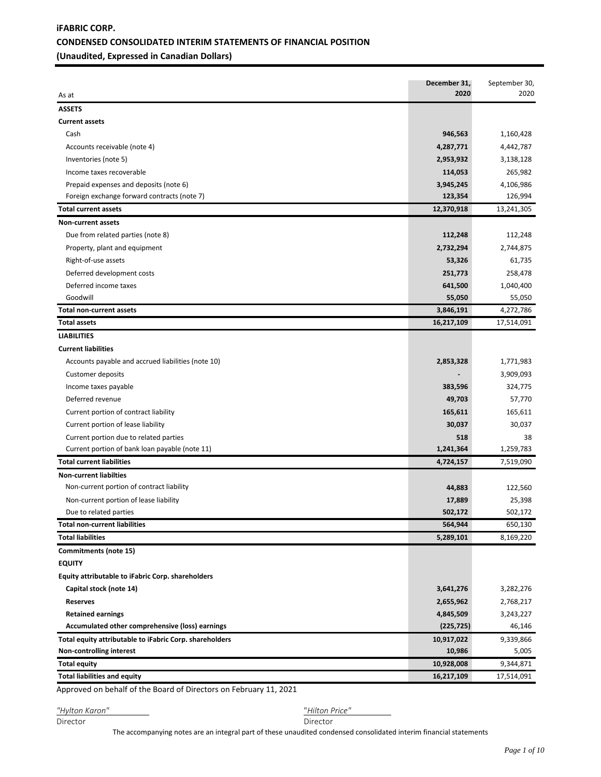# **iFABRIC CORP. CONDENSED CONSOLIDATED INTERIM STATEMENTS OF FINANCIAL POSITION (Unaudited, Expressed in Canadian Dollars)**

| As at                                                   | December 31,<br>2020 | September 30,<br>2020 |
|---------------------------------------------------------|----------------------|-----------------------|
| <b>ASSETS</b>                                           |                      |                       |
| <b>Current assets</b>                                   |                      |                       |
| Cash                                                    | 946,563              | 1,160,428             |
| Accounts receivable (note 4)                            | 4,287,771            | 4,442,787             |
| Inventories (note 5)                                    | 2,953,932            | 3,138,128             |
| Income taxes recoverable                                | 114,053              | 265,982               |
| Prepaid expenses and deposits (note 6)                  | 3,945,245            | 4,106,986             |
| Foreign exchange forward contracts (note 7)             | 123,354              | 126,994               |
| <b>Total current assets</b>                             | 12,370,918           | 13,241,305            |
| <b>Non-current assets</b>                               |                      |                       |
| Due from related parties (note 8)                       | 112,248              | 112,248               |
| Property, plant and equipment                           | 2,732,294            | 2,744,875             |
| Right-of-use assets                                     | 53,326               | 61,735                |
| Deferred development costs                              | 251,773              | 258,478               |
| Deferred income taxes                                   | 641,500              | 1,040,400             |
| Goodwill                                                | 55,050               | 55,050                |
| <b>Total non-current assets</b>                         | 3,846,191            | 4,272,786             |
| <b>Total assets</b>                                     | 16,217,109           | 17,514,091            |
| <b>LIABILITIES</b>                                      |                      |                       |
| <b>Current liabilities</b>                              |                      |                       |
| Accounts payable and accrued liabilities (note 10)      | 2,853,328            | 1,771,983             |
| <b>Customer deposits</b>                                |                      | 3,909,093             |
| Income taxes payable                                    | 383,596              | 324,775               |
| Deferred revenue                                        | 49,703               | 57,770                |
| Current portion of contract liability                   | 165,611              | 165,611               |
| Current portion of lease liability                      | 30,037               | 30,037                |
| Current portion due to related parties                  | 518                  | 38                    |
| Current portion of bank loan payable (note 11)          | 1,241,364            | 1,259,783             |
| <b>Total current liabilities</b>                        | 4,724,157            | 7,519,090             |
| <b>Non-current liabilties</b>                           |                      |                       |
| Non-current portion of contract liability               | 44,883               | 122,560               |
| Non-current portion of lease liability                  | 17,889               | 25,398                |
| Due to related parties                                  | 502,172              | 502,172               |
| <b>Total non-current liabilities</b>                    | 564,944              | 650,130               |
| <b>Total liabilities</b>                                | 5,289,101            | 8,169,220             |
| Commitments (note 15)                                   |                      |                       |
| <b>EQUITY</b>                                           |                      |                       |
| Equity attributable to iFabric Corp. shareholders       |                      |                       |
| Capital stock (note 14)                                 | 3,641,276            | 3,282,276             |
| <b>Reserves</b>                                         | 2,655,962            | 2,768,217             |
| <b>Retained earnings</b>                                | 4,845,509            | 3,243,227             |
| Accumulated other comprehensive (loss) earnings         | (225, 725)           | 46,146                |
| Total equity attributable to iFabric Corp. shareholders | 10,917,022           | 9,339,866             |
| Non-controlling interest                                | 10,986               | 5,005                 |
| <b>Total equity</b>                                     | 10,928,008           | 9,344,871             |
| <b>Total liabilities and equity</b>                     | 16,217,109           | 17,514,091            |
|                                                         |                      |                       |

Approved on behalf of the Board of Directors on February 11, 2021

*"Hylton Karon"* "*Hilton Price"* 

Director Director

The accompanying notes are an integral part of these unaudited condensed consolidated interim financial statements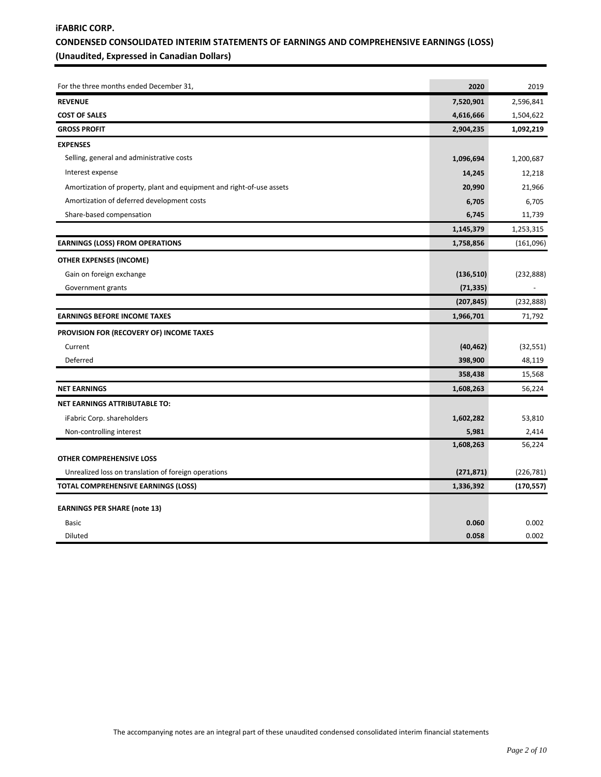# **iFABRIC CORP. CONDENSED CONSOLIDATED INTERIM STATEMENTS OF EARNINGS AND COMPREHENSIVE EARNINGS (LOSS) (Unaudited, Expressed in Canadian Dollars)**

| For the three months ended December 31,                               | 2020       | 2019       |
|-----------------------------------------------------------------------|------------|------------|
| <b>REVENUE</b>                                                        | 7,520,901  | 2,596,841  |
| <b>COST OF SALES</b>                                                  | 4,616,666  | 1,504,622  |
| <b>GROSS PROFIT</b>                                                   | 2,904,235  | 1,092,219  |
| <b>EXPENSES</b>                                                       |            |            |
| Selling, general and administrative costs                             | 1,096,694  | 1,200,687  |
| Interest expense                                                      | 14,245     | 12,218     |
| Amortization of property, plant and equipment and right-of-use assets | 20,990     | 21,966     |
| Amortization of deferred development costs                            | 6,705      | 6,705      |
| Share-based compensation                                              | 6,745      | 11,739     |
|                                                                       | 1,145,379  | 1,253,315  |
| <b>EARNINGS (LOSS) FROM OPERATIONS</b>                                | 1,758,856  | (161,096)  |
| <b>OTHER EXPENSES (INCOME)</b>                                        |            |            |
| Gain on foreign exchange                                              | (136, 510) | (232, 888) |
| Government grants                                                     | (71, 335)  |            |
|                                                                       | (207, 845) | (232, 888) |
| <b>EARNINGS BEFORE INCOME TAXES</b>                                   | 1,966,701  | 71,792     |
| PROVISION FOR (RECOVERY OF) INCOME TAXES                              |            |            |
| Current                                                               | (40, 462)  | (32, 551)  |
| Deferred                                                              | 398,900    | 48,119     |
|                                                                       | 358,438    | 15,568     |
| <b>NET EARNINGS</b>                                                   | 1,608,263  | 56,224     |
| NET EARNINGS ATTRIBUTABLE TO:                                         |            |            |
| iFabric Corp. shareholders                                            | 1,602,282  | 53,810     |
| Non-controlling interest                                              | 5,981      | 2,414      |
|                                                                       | 1,608,263  | 56,224     |
| OTHER COMPREHENSIVE LOSS                                              |            |            |
| Unrealized loss on translation of foreign operations                  | (271, 871) | (226, 781) |
| <b>TOTAL COMPREHENSIVE EARNINGS (LOSS)</b>                            | 1,336,392  | (170, 557) |
| <b>EARNINGS PER SHARE (note 13)</b>                                   |            |            |
| Basic                                                                 | 0.060      | 0.002      |
| Diluted                                                               | 0.058      | 0.002      |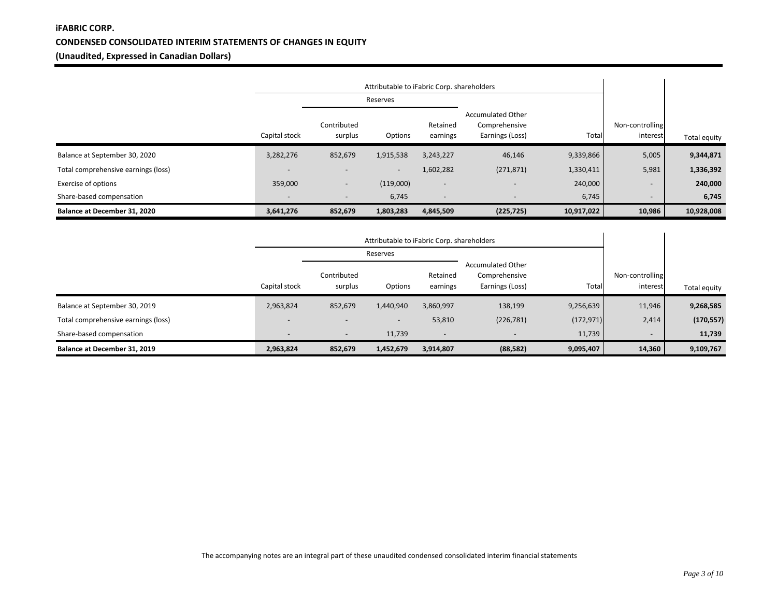# **iFABRIC CORP. CONDENSED CONSOLIDATED INTERIM STATEMENTS OF CHANGES IN EQUITY (Unaudited, Expressed in Canadian Dollars)**

|                                     |                          | Attributable to iFabric Corp. shareholders |           |                          |                                                              |            |                             |              |
|-------------------------------------|--------------------------|--------------------------------------------|-----------|--------------------------|--------------------------------------------------------------|------------|-----------------------------|--------------|
|                                     |                          |                                            | Reserves  |                          |                                                              |            |                             |              |
|                                     | Capital stock            | Contributed<br>surplus                     | Options   | Retained<br>earnings     | <b>Accumulated Other</b><br>Comprehensive<br>Earnings (Loss) | Total      | Non-controlling<br>interest | Total equity |
| Balance at September 30, 2020       | 3,282,276                | 852,679                                    | 1,915,538 | 3,243,227                | 46,146                                                       | 9,339,866  | 5,005                       | 9,344,871    |
| Total comprehensive earnings (loss) |                          | $\overline{\phantom{a}}$                   | $\sim$    | 1,602,282                | (271, 871)                                                   | 1,330,411  | 5,981                       | 1,336,392    |
| <b>Exercise of options</b>          | 359,000                  | $\overline{\phantom{a}}$                   | (119,000) | $\overline{\phantom{0}}$ |                                                              | 240,000    | $\overline{\phantom{0}}$    | 240,000      |
| Share-based compensation            | $\overline{\phantom{0}}$ | $\overline{\phantom{a}}$                   | 6,745     | $\overline{\phantom{a}}$ | $\overline{\phantom{a}}$                                     | 6,745      | $\overline{\phantom{a}}$    | 6,745        |
| Balance at December 31, 2020        | 3,641,276                | 852,679                                    | 1,803,283 | 4,845,509                | (225, 725)                                                   | 10,917,022 | 10,986                      | 10,928,008   |

|                                     |               | Attributable to iFabric Corp. shareholders |                          |                          |                                                              |            |                             |              |
|-------------------------------------|---------------|--------------------------------------------|--------------------------|--------------------------|--------------------------------------------------------------|------------|-----------------------------|--------------|
|                                     |               |                                            | Reserves                 |                          |                                                              |            |                             |              |
|                                     | Capital stock | Contributed<br>surplus                     | Options                  | Retained<br>earnings     | <b>Accumulated Other</b><br>Comprehensive<br>Earnings (Loss) | Total      | Non-controlling<br>interest | Total equity |
| Balance at September 30, 2019       | 2,963,824     | 852,679                                    | 1,440,940                | 3,860,997                | 138,199                                                      | 9,256,639  | 11,946                      | 9,268,585    |
| Total comprehensive earnings (loss) |               | $\overline{\phantom{a}}$                   | $\overline{\phantom{0}}$ | 53,810                   | (226, 781)                                                   | (172, 971) | 2,414                       | (170, 557)   |
| Share-based compensation            |               | $\overline{\phantom{a}}$                   | 11,739                   | $\overline{\phantom{a}}$ | $\overline{\phantom{a}}$                                     | 11,739     | $\overline{\phantom{0}}$    | 11,739       |
| Balance at December 31, 2019        | 2,963,824     | 852,679                                    | 1,452,679                | 3,914,807                | (88, 582)                                                    | 9,095,407  | 14,360                      | 9,109,767    |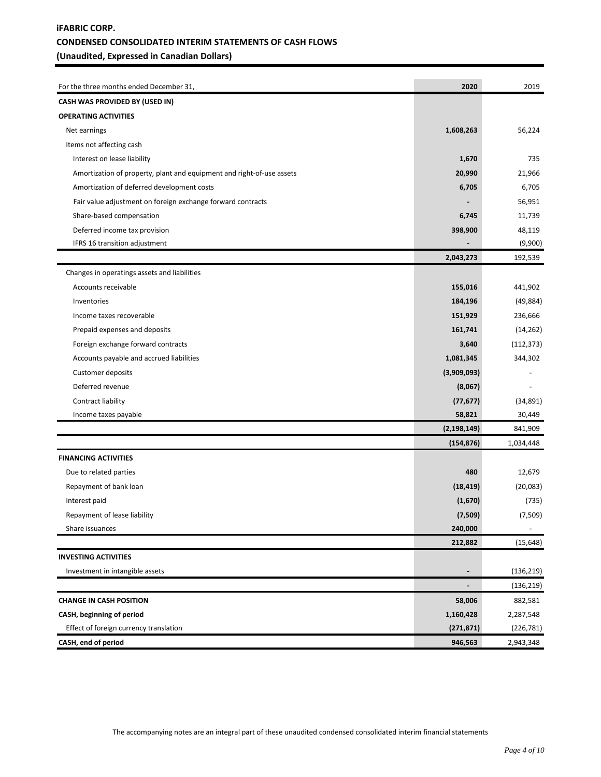# **iFABRIC CORP. CONDENSED CONSOLIDATED INTERIM STATEMENTS OF CASH FLOWS (Unaudited, Expressed in Canadian Dollars)**

| For the three months ended December 31,                               | 2020                     | 2019                     |
|-----------------------------------------------------------------------|--------------------------|--------------------------|
| <b>CASH WAS PROVIDED BY (USED IN)</b>                                 |                          |                          |
| <b>OPERATING ACTIVITIES</b>                                           |                          |                          |
| Net earnings                                                          | 1,608,263                | 56,224                   |
| Items not affecting cash                                              |                          |                          |
| Interest on lease liability                                           | 1,670                    | 735                      |
| Amortization of property, plant and equipment and right-of-use assets | 20,990                   | 21,966                   |
| Amortization of deferred development costs                            | 6,705                    | 6,705                    |
| Fair value adjustment on foreign exchange forward contracts           |                          | 56,951                   |
| Share-based compensation                                              | 6,745                    | 11,739                   |
| Deferred income tax provision                                         | 398,900                  | 48,119                   |
| IFRS 16 transition adjustment                                         |                          | (9,900)                  |
|                                                                       | 2,043,273                | 192,539                  |
| Changes in operatings assets and liabilities                          |                          |                          |
| Accounts receivable                                                   | 155,016                  | 441,902                  |
| Inventories                                                           | 184,196                  | (49, 884)                |
| Income taxes recoverable                                              | 151,929                  | 236,666                  |
| Prepaid expenses and deposits                                         | 161,741                  | (14, 262)                |
| Foreign exchange forward contracts                                    | 3,640                    | (112, 373)               |
| Accounts payable and accrued liabilities                              | 1,081,345                | 344,302                  |
| Customer deposits                                                     | (3,909,093)              |                          |
| Deferred revenue                                                      | (8,067)                  |                          |
| Contract liability                                                    | (77, 677)                | (34, 891)                |
| Income taxes payable                                                  | 58,821                   | 30,449                   |
|                                                                       | (2, 198, 149)            | 841,909                  |
|                                                                       | (154, 876)               | 1,034,448                |
| <b>FINANCING ACTIVITIES</b>                                           |                          |                          |
| Due to related parties                                                | 480                      | 12,679                   |
| Repayment of bank loan                                                | (18, 419)                | (20,083)                 |
| Interest paid                                                         | (1,670)                  | (735)                    |
| Repayment of lease liability                                          | (7,509)                  | (7,509)                  |
| Share issuances                                                       | 240,000                  | $\overline{\phantom{a}}$ |
|                                                                       | 212,882                  | (15, 648)                |
| <b>INVESTING ACTIVITIES</b>                                           |                          |                          |
| Investment in intangible assets                                       |                          | (136, 219)               |
|                                                                       | $\overline{\phantom{a}}$ | (136, 219)               |
| <b>CHANGE IN CASH POSITION</b>                                        | 58,006                   | 882,581                  |
| CASH, beginning of period                                             | 1,160,428                | 2,287,548                |
| Effect of foreign currency translation                                | (271, 871)               | (226, 781)               |
| CASH, end of period                                                   | 946,563                  | 2,943,348                |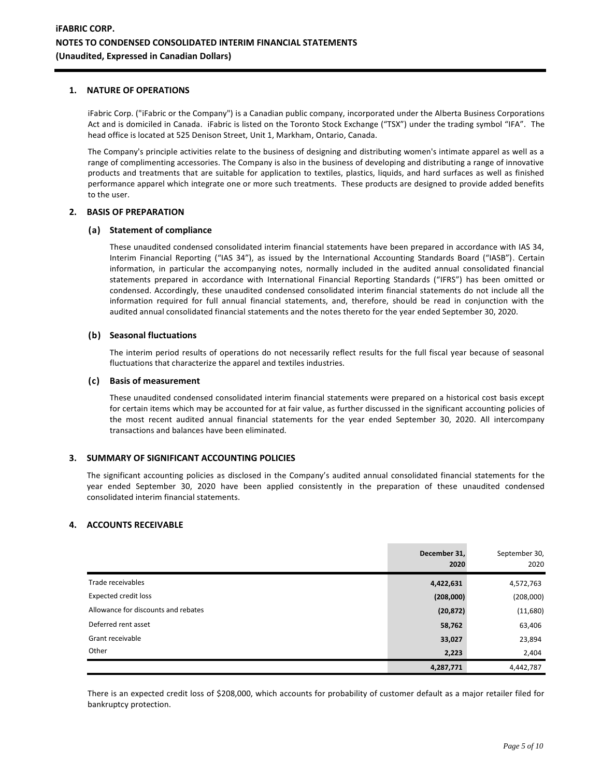### **1. NATURE OF OPERATIONS**

iFabric Corp. ("iFabric or the Company") is a Canadian public company, incorporated under the Alberta Business Corporations Act and is domiciled in Canada. iFabric is listed on the Toronto Stock Exchange ("TSX") under the trading symbol "IFA". The head office is located at 525 Denison Street, Unit 1, Markham, Ontario, Canada.

The Company's principle activities relate to the business of designing and distributing women's intimate apparel as well as a range of complimenting accessories. The Company is also in the business of developing and distributing a range of innovative products and treatments that are suitable for application to textiles, plastics, liquids, and hard surfaces as well as finished performance apparel which integrate one or more such treatments. These products are designed to provide added benefits to the user.

#### **2. BASIS OF PREPARATION**

## **(a) Statement of compliance**

These unaudited condensed consolidated interim financial statements have been prepared in accordance with IAS 34, Interim Financial Reporting ("IAS 34"), as issued by the International Accounting Standards Board ("IASB"). Certain information, in particular the accompanying notes, normally included in the audited annual consolidated financial statements prepared in accordance with International Financial Reporting Standards ("IFRS") has been omitted or condensed. Accordingly, these unaudited condensed consolidated interim financial statements do not include all the information required for full annual financial statements, and, therefore, should be read in conjunction with the audited annual consolidated financial statements and the notes thereto for the year ended September 30, 2020.

## **(b) Seasonal fluctuations**

The interim period results of operations do not necessarily reflect results for the full fiscal year because of seasonal fluctuations that characterize the apparel and textiles industries.

#### **(c) Basis of measurement**

These unaudited condensed consolidated interim financial statements were prepared on a historical cost basis except for certain items which may be accounted for at fair value, as further discussed in the significant accounting policies of the most recent audited annual financial statements for the year ended September 30, 2020. All intercompany transactions and balances have been eliminated.

# **3. SUMMARY OF SIGNIFICANT ACCOUNTING POLICIES**

The significant accounting policies as disclosed in the Company's audited annual consolidated financial statements for the year ended September 30, 2020 have been applied consistently in the preparation of these unaudited condensed consolidated interim financial statements.

#### **4. ACCOUNTS RECEIVABLE**

|                                     | December 31,<br>2020 | September 30,<br>2020 |
|-------------------------------------|----------------------|-----------------------|
| Trade receivables                   | 4,422,631            | 4,572,763             |
| <b>Expected credit loss</b>         | (208,000)            | (208,000)             |
| Allowance for discounts and rebates | (20, 872)            | (11,680)              |
| Deferred rent asset                 | 58,762               | 63,406                |
| Grant receivable                    | 33,027               | 23,894                |
| Other                               | 2,223                | 2,404                 |
|                                     | 4,287,771            | 4,442,787             |

There is an expected credit loss of \$208,000, which accounts for probability of customer default as a major retailer filed for bankruptcy protection.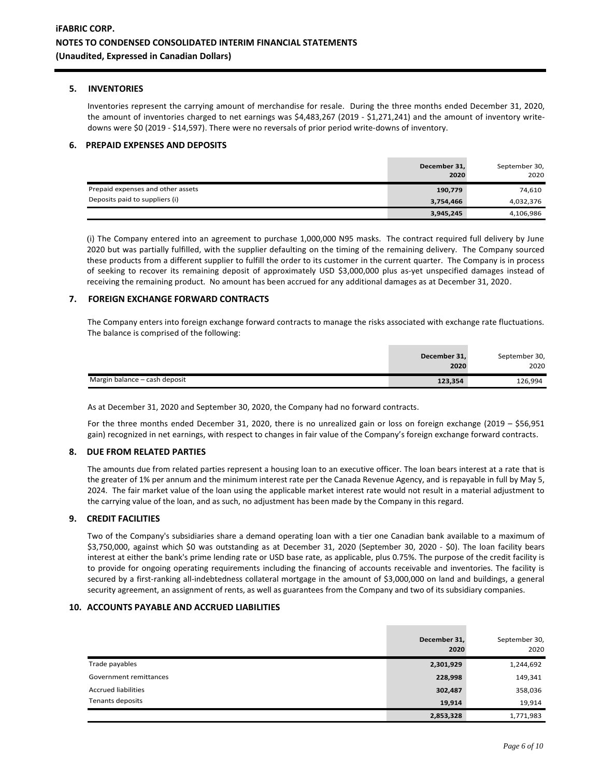#### **5. INVENTORIES**

Inventories represent the carrying amount of merchandise for resale. During the three months ended December 31, 2020, the amount of inventories charged to net earnings was \$4,483,267 (2019 - \$1,271,241) and the amount of inventory writedowns were \$0 (2019 - \$14,597). There were no reversals of prior period write-downs of inventory.

#### **6. PREPAID EXPENSES AND DEPOSITS**

|                                   | December 31,<br>2020 | September 30,<br>2020 |
|-----------------------------------|----------------------|-----------------------|
| Prepaid expenses and other assets | 190,779              | 74,610                |
| Deposits paid to suppliers (i)    | 3,754,466            | 4,032,376             |
|                                   | 3,945,245            | 4,106,986             |

(i) The Company entered into an agreement to purchase 1,000,000 N95 masks. The contract required full delivery by June 2020 but was partially fulfilled, with the supplier defaulting on the timing of the remaining delivery. The Company sourced these products from a different supplier to fulfill the order to its customer in the current quarter. The Company is in process of seeking to recover its remaining deposit of approximately USD \$3,000,000 plus as-yet unspecified damages instead of receiving the remaining product. No amount has been accrued for any additional damages as at December 31, 2020.

#### **7. FOREIGN EXCHANGE FORWARD CONTRACTS**

The Company enters into foreign exchange forward contracts to manage the risks associated with exchange rate fluctuations. The balance is comprised of the following:

|                               | December 31,<br>2020 | September 30,<br>2020 |
|-------------------------------|----------------------|-----------------------|
| Margin balance – cash deposit | 123,354              | 126,994               |

As at December 31, 2020 and September 30, 2020, the Company had no forward contracts.

For the three months ended December 31, 2020, there is no unrealized gain or loss on foreign exchange (2019 – \$56,951 gain) recognized in net earnings, with respect to changes in fair value of the Company's foreign exchange forward contracts.

#### **8. DUE FROM RELATED PARTIES**

The amounts due from related parties represent a housing loan to an executive officer. The loan bears interest at a rate that is the greater of 1% per annum and the minimum interest rate per the Canada Revenue Agency, and is repayable in full by May 5, 2024. The fair market value of the loan using the applicable market interest rate would not result in a material adjustment to the carrying value of the loan, and as such, no adjustment has been made by the Company in this regard.

#### **9. CREDIT FACILITIES**

Two of the Company's subsidiaries share a demand operating loan with a tier one Canadian bank available to a maximum of \$3,750,000, against which \$0 was outstanding as at December 31, 2020 (September 30, 2020 - \$0). The loan facility bears interest at either the bank's prime lending rate or USD base rate, as applicable, plus 0.75%. The purpose of the credit facility is to provide for ongoing operating requirements including the financing of accounts receivable and inventories. The facility is secured by a first-ranking all-indebtedness collateral mortgage in the amount of \$3,000,000 on land and buildings, a general security agreement, an assignment of rents, as well as guarantees from the Company and two of its subsidiary companies.

#### **10. ACCOUNTS PAYABLE AND ACCRUED LIABILITIES**

|                            | December 31,<br>2020 | September 30,<br>2020 |
|----------------------------|----------------------|-----------------------|
| Trade payables             | 2,301,929            | 1,244,692             |
| Government remittances     | 228,998              | 149,341               |
| <b>Accrued liabilities</b> | 302,487              | 358,036               |
| Tenants deposits           | 19,914               | 19,914                |
|                            | 2,853,328            | 1,771,983             |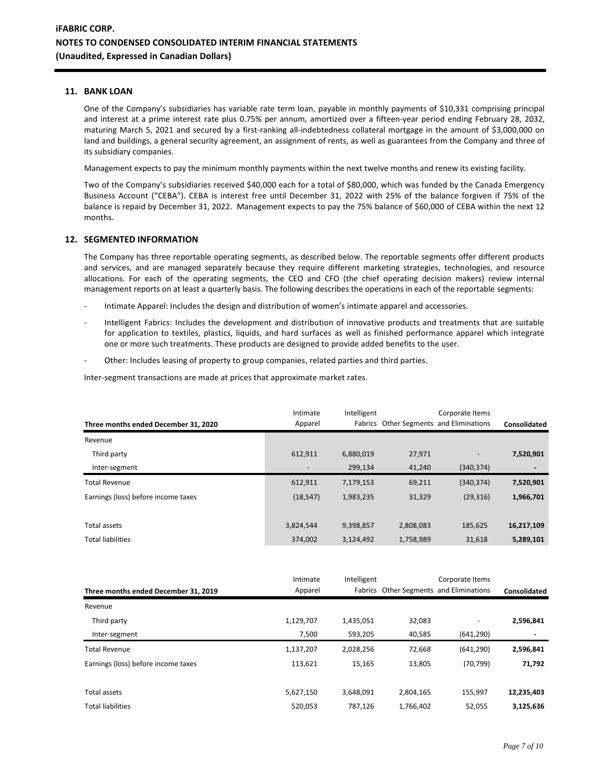## **11. BANK LOAN**

One of the Company's subsidiaries has variable rate term loan, payable in monthly payments of \$10,331 comprising principal and interest at a prime interest rate plus 0.75% per annum, amortized over a fifteen-year period ending February 28, 2032, maturing March 5, 2021 and secured by a first-ranking all-indebtedness collateral mortgage in the amount of \$3,000,000 on land and buildings, a general security agreement, an assignment of rents, as well as guarantees from the Company and three of its subsidiary companies.

Management expects to pay the minimum monthly payments within the next twelve months and renew its existing facility.

Two of the Company's subsidiaries received \$40,000 each for a total of \$80,000, which was funded by the Canada Emergency Business Account ("CEBA"). CEBA is interest free until December 31, 2022 with 25% of the balance forgiven if 75% of the balance is repaid by December 31, 2022. Management expects to pay the 75% balance of \$60,000 of CEBA within the next 12 months.

#### **12. SEGMENTED INFORMATION**

The Company has three reportable operating segments, as described below. The reportable segments offer different products and services, and are managed separately because they require different marketing strategies, technologies, and resource allocations. For each of the operating segments, the CEO and CFO (the chief operating decision makers) review internal management reports on at least a quarterly basis. The following describes the operations in each of the reportable segments:

- Intimate Apparel: Includes the design and distribution of women's intimate apparel and accessories.
- Intelligent Fabrics: Includes the development and distribution of innovative products and treatments that are suitable for application to textiles, plastics, liquids, and hard surfaces as well as finished performance apparel which integrate one or more such treatments. These products are designed to provide added benefits to the user.
- Other: Includes leasing of property to group companies, related parties and third parties.

Inter-segment transactions are made at prices that approximate market rates.

| Three months ended December 31, 2020 | Intimate<br>Apparel | Intelligent |           | Corporate Items<br>Fabrics Other Segments and Eliminations | Consolidated |
|--------------------------------------|---------------------|-------------|-----------|------------------------------------------------------------|--------------|
| Revenue                              |                     |             |           |                                                            |              |
| Third party                          | 612,911             | 6,880,019   | 27,971    |                                                            | 7,520,901    |
| Inter-segment                        |                     | 299.134     | 41,240    | (340, 374)                                                 |              |
| <b>Total Revenue</b>                 | 612,911             | 7,179,153   | 69,211    | (340, 374)                                                 | 7,520,901    |
| Earnings (loss) before income taxes  | (18, 547)           | 1,983,235   | 31,329    | (29, 316)                                                  | 1,966,701    |
|                                      |                     |             |           |                                                            |              |
| Total assets                         | 3,824,544           | 9,398,857   | 2,808,083 | 185,625                                                    | 16,217,109   |
| <b>Total liabilities</b>             | 374,002             | 3,124,492   | 1,758,989 | 31,618                                                     | 5,289,101    |

|                                      | Intimate  | Intelligent |           | Corporate Items                         |                     |
|--------------------------------------|-----------|-------------|-----------|-----------------------------------------|---------------------|
| Three months ended December 31, 2019 | Apparel   |             |           | Fabrics Other Segments and Eliminations | <b>Consolidated</b> |
| Revenue                              |           |             |           |                                         |                     |
| Third party                          | 1,129,707 | 1,435,051   | 32,083    | $\overline{\phantom{0}}$                | 2,596,841           |
| Inter-segment                        | 7,500     | 593,205     | 40,585    | (641, 290)                              |                     |
| <b>Total Revenue</b>                 | 1,137,207 | 2,028,256   | 72,668    | (641, 290)                              | 2,596,841           |
| Earnings (loss) before income taxes  | 113.621   | 15.165      | 13,805    | (70, 799)                               | 71,792              |
|                                      |           |             |           |                                         |                     |
| Total assets                         | 5,627,150 | 3,648,091   | 2,804,165 | 155,997                                 | 12,235,403          |
| <b>Total liabilities</b>             | 520,053   | 787,126     | 1,766,402 | 52,055                                  | 3,125,636           |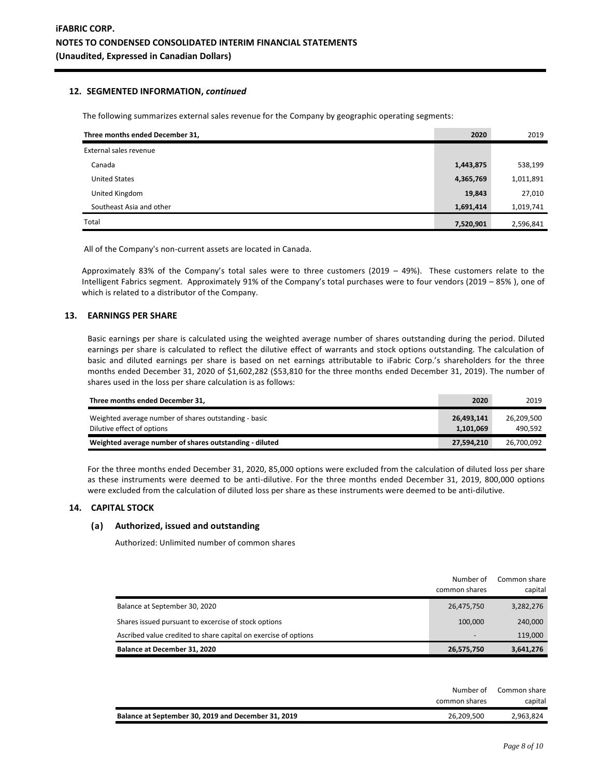### **12. SEGMENTED INFORMATION,** *continued*

The following summarizes external sales revenue for the Company by geographic operating segments:

| Three months ended December 31, | 2020      | 2019      |
|---------------------------------|-----------|-----------|
| External sales revenue          |           |           |
| Canada                          | 1,443,875 | 538,199   |
| <b>United States</b>            | 4,365,769 | 1,011,891 |
| United Kingdom                  | 19,843    | 27,010    |
| Southeast Asia and other        | 1,691,414 | 1,019,741 |
| Total                           | 7,520,901 | 2,596,841 |

All of the Company's non-current assets are located in Canada.

Approximately 83% of the Company's total sales were to three customers (2019 – 49%). These customers relate to the Intelligent Fabrics segment. Approximately 91% of the Company's total purchases were to four vendors (2019 – 85% ), one of which is related to a distributor of the Company.

#### **13. EARNINGS PER SHARE**

Basic earnings per share is calculated using the weighted average number of shares outstanding during the period. Diluted earnings per share is calculated to reflect the dilutive effect of warrants and stock options outstanding. The calculation of basic and diluted earnings per share is based on net earnings attributable to iFabric Corp.'s shareholders for the three months ended December 31, 2020 of \$1,602,282 (\$53,810 for the three months ended December 31, 2019). The number of shares used in the loss per share calculation is as follows:

| Three months ended December 31.                                                     | 2020                    | 2019                  |
|-------------------------------------------------------------------------------------|-------------------------|-----------------------|
| Weighted average number of shares outstanding - basic<br>Dilutive effect of options | 26.493.141<br>1,101,069 | 26.209.500<br>490.592 |
| Weighted average number of shares outstanding - diluted                             | 27,594,210              | 26,700,092            |

For the three months ended December 31, 2020, 85,000 options were excluded from the calculation of diluted loss per share as these instruments were deemed to be anti-dilutive. For the three months ended December 31, 2019, 800,000 options were excluded from the calculation of diluted loss per share as these instruments were deemed to be anti-dilutive.

# **14. CAPITAL STOCK**

#### **(a) Authorized, issued and outstanding**

Authorized: Unlimited number of common shares

|                                                                 | Number of<br>common shares | Common share<br>capital |
|-----------------------------------------------------------------|----------------------------|-------------------------|
| Balance at September 30, 2020                                   | 26,475,750                 | 3,282,276               |
| Shares issued pursuant to excercise of stock options            | 100.000                    | 240,000                 |
| Ascribed value credited to share capital on exercise of options | $\overline{\phantom{0}}$   | 119.000                 |
| Balance at December 31, 2020                                    | 26,575,750                 | 3,641,276               |

| Number of                                                         | Common share |
|-------------------------------------------------------------------|--------------|
| common shares                                                     | capital      |
| Balance at September 30, 2019 and December 31, 2019<br>26.209.500 | 2,963,824    |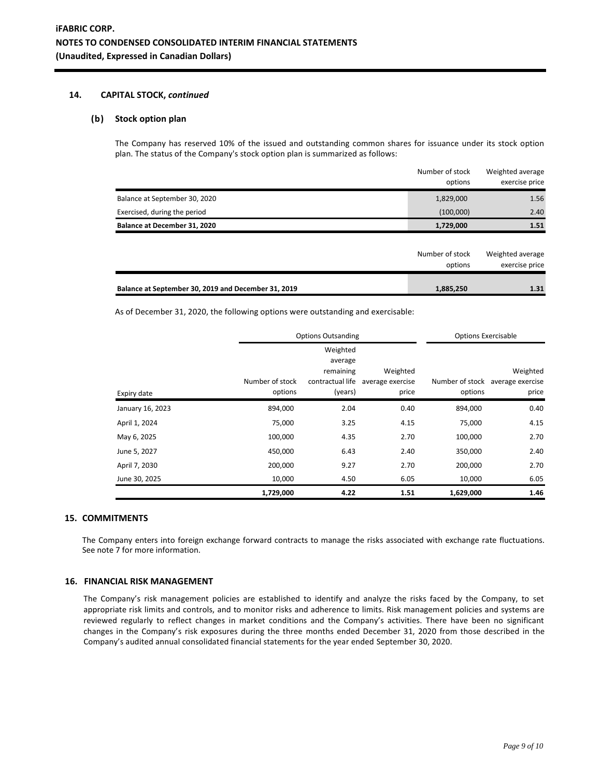### **14. CAPITAL STOCK,** *continued*

### **(b) Stock option plan**

The Company has reserved 10% of the issued and outstanding common shares for issuance under its stock option plan. The status of the Company's stock option plan is summarized as follows:

|                                                     | Number of stock<br>options | Weighted average<br>exercise price |
|-----------------------------------------------------|----------------------------|------------------------------------|
| Balance at September 30, 2020                       | 1,829,000                  | 1.56                               |
| Exercised, during the period                        | (100,000)                  | 2.40                               |
| Balance at December 31, 2020                        | 1,729,000                  | 1.51                               |
|                                                     |                            |                                    |
|                                                     | Number of stock<br>options | Weighted average<br>exercise price |
| Balance at September 30, 2019 and December 31, 2019 | 1,885,250                  | 1.31                               |

As of December 31, 2020, the following options were outstanding and exercisable:

|                  | <b>Options Outsanding</b>  |                                                                 |                                       | <b>Options Exercisable</b> |                                                       |
|------------------|----------------------------|-----------------------------------------------------------------|---------------------------------------|----------------------------|-------------------------------------------------------|
| Expiry date      | Number of stock<br>options | Weighted<br>average<br>remaining<br>contractual life<br>(years) | Weighted<br>average exercise<br>price | options                    | Weighted<br>Number of stock average exercise<br>price |
| January 16, 2023 | 894,000                    | 2.04                                                            | 0.40                                  | 894,000                    | 0.40                                                  |
| April 1, 2024    | 75,000                     | 3.25                                                            | 4.15                                  | 75,000                     | 4.15                                                  |
| May 6, 2025      | 100,000                    | 4.35                                                            | 2.70                                  | 100,000                    | 2.70                                                  |
| June 5, 2027     | 450,000                    | 6.43                                                            | 2.40                                  | 350,000                    | 2.40                                                  |
| April 7, 2030    | 200,000                    | 9.27                                                            | 2.70                                  | 200,000                    | 2.70                                                  |
| June 30, 2025    | 10,000                     | 4.50                                                            | 6.05                                  | 10,000                     | 6.05                                                  |
|                  | 1,729,000                  | 4.22                                                            | 1.51                                  | 1,629,000                  | 1.46                                                  |

# **15. COMMITMENTS**

The Company enters into foreign exchange forward contracts to manage the risks associated with exchange rate fluctuations. See note 7 for more information.

#### **16. FINANCIAL RISK MANAGEMENT**

The Company's risk management policies are established to identify and analyze the risks faced by the Company, to set appropriate risk limits and controls, and to monitor risks and adherence to limits. Risk management policies and systems are reviewed regularly to reflect changes in market conditions and the Company's activities. There have been no significant changes in the Company's risk exposures during the three months ended December 31, 2020 from those described in the Company's audited annual consolidated financial statements for the year ended September 30, 2020.